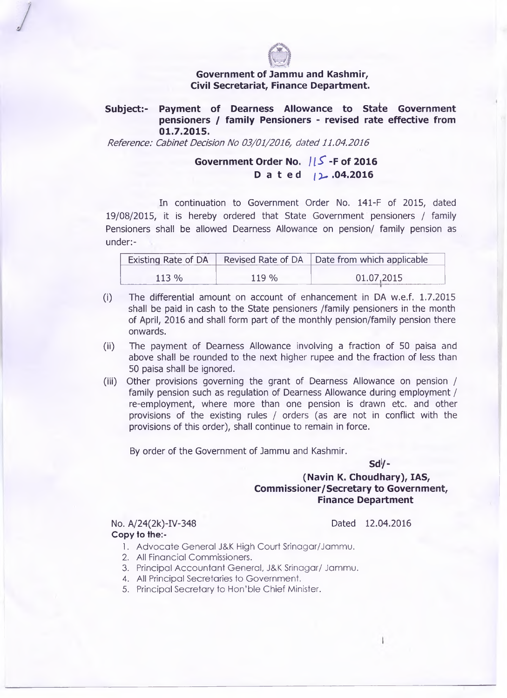

### **Government of Jammu and Kashmir, Civil Secretariat, Finance Department.**

## **Subject:- Payment of Dearness Allowance to State Government pensioners / family Pensioners - revised rate effective from 01.7.2015.**

*Reference: Cabinet Decision No 03/01/2016, dated 11.04.2016*

# **Government Order No.** *U S '* **-F of 2016 Dated /2.04.2016**

In continuation to Government Order No. 141-F of 2015, dated 19/08/2015, it is hereby ordered that State Government pensioners / family Pensioners shall be allowed Dearness Allowance on pension/ family pension as under:-

|         |       | Existing Rate of DA   Revised Rate of DA   Date from which applicable |  |
|---------|-------|-----------------------------------------------------------------------|--|
| $113\%$ | 119 % | 01.07,2015                                                            |  |

- (i) The differential amount on account of enhancement in DA w.e.f. 1.7.2015 shall be paid in cash to the State pensioners /family pensioners in the month of April, 2016 and shall form part of the monthly pension/family pension there onwards.
- (ii) The payment of Dearness Allowance involving a fraction of 50 paisa and above shall be rounded to the next higher rupee and the fraction of less than 50 paisa shall be ignored.
- (iii) Other provisions governing the grant of Dearness Allowance on pension / family pension such as regulation of Dearness Allowance during employment / re-employment, where more than one pension is drawn etc. and other provisions of the existing rules / orders (as are not in conflict with the provisions of this order), shall continue to remain in force.

By order of the Government of Jammu and Kashmir.

**Sd1/-**

## **(Navin K. Choudhary), IAS, Commissioner/Secretary to Government, Finance Department**

No. A/24(2k)-IV-348 Dated 12.04.2016 **Copy to the:-**

- 1. Advocate General J&K High Court Srinagar/Jammu.
- 2. All Financial Commissioners.
- 3. Principal Accountant General, J&K Srinagar/ Jammu.
- 4. All Principal Secretaries to Government.
- 5. Principal Secretary to Hon'ble Chief Minister.